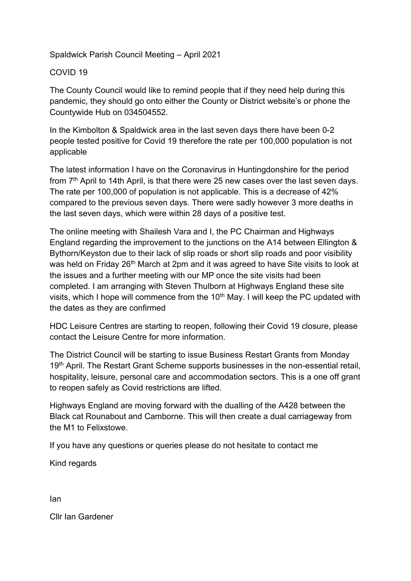## Spaldwick Parish Council Meeting – April 2021

## COVID 19

The County Council would like to remind people that if they need help during this pandemic, they should go onto either the County or District website's or phone the Countywide Hub on 034504552.

In the Kimbolton & Spaldwick area in the last seven days there have been 0-2 people tested positive for Covid 19 therefore the rate per 100,000 population is not applicable

The latest information I have on the Coronavirus in Huntingdonshire for the period from  $7<sup>th</sup>$  April to 14th April, is that there were 25 new cases over the last seven days. The rate per 100,000 of population is not applicable. This is a decrease of 42% compared to the previous seven days. There were sadly however 3 more deaths in the last seven days, which were within 28 days of a positive test.

The online meeting with Shailesh Vara and I, the PC Chairman and Highways England regarding the improvement to the junctions on the A14 between Ellington & Bythorn/Keyston due to their lack of slip roads or short slip roads and poor visibility was held on Friday 26<sup>th</sup> March at 2pm and it was agreed to have Site visits to look at the issues and a further meeting with our MP once the site visits had been completed. I am arranging with Steven Thulborn at Highways England these site visits, which I hope will commence from the  $10<sup>th</sup>$  May. I will keep the PC updated with the dates as they are confirmed

HDC Leisure Centres are starting to reopen, following their Covid 19 closure, please contact the Leisure Centre for more information.

The District Council will be starting to issue Business Restart Grants from Monday 19<sup>th</sup> April. The Restart Grant Scheme supports businesses in the non-essential retail, hospitality, leisure, personal care and accommodation sectors. This is a one off grant to reopen safely as Covid restrictions are lifted.

Highways England are moving forward with the dualling of the A428 between the Black cat Rounabout and Camborne. This will then create a dual carriageway from the M1 to Felixstowe.

If you have any questions or queries please do not hesitate to contact me

Kind regards

Ian

Cllr Ian Gardener